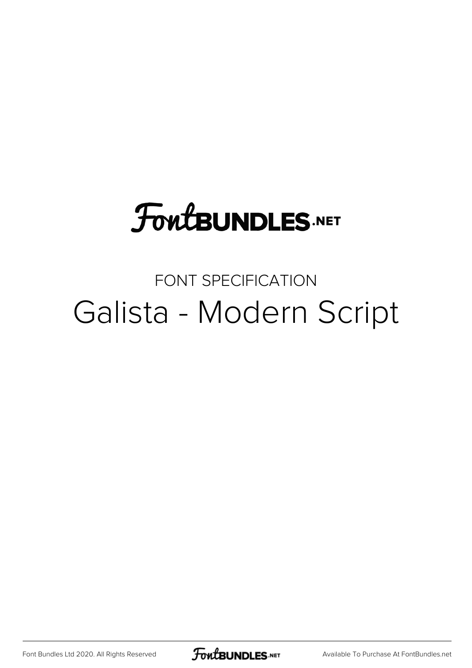## **FoutBUNDLES.NET**

## FONT SPECIFICATION Galista - Modern Script

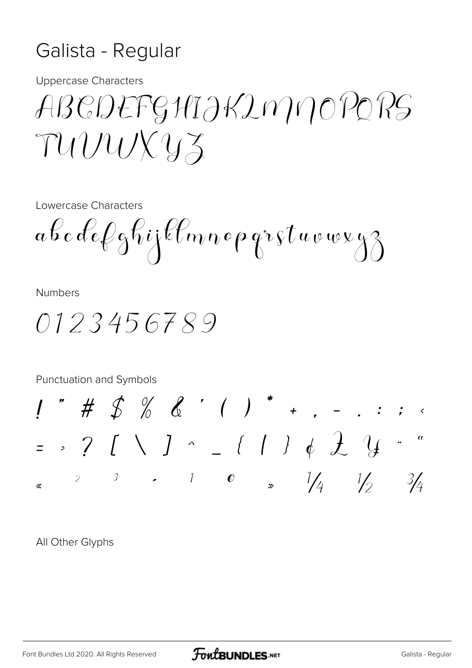## Galista - Regular

**Uppercase Characters** 

ABCDEFGHIJKIMMOPORS TUVUXYZ

Lowercase Characters

 $a\,b\,c\,de\,\ell\,e\,f\,j$ klmnepgr $\,s\,t\,a\,v\,w\,v\,s\,j\,s$ 

**Numbers** 

0123456789

Punctuation and Symbols

 $\frac{1}{2}$  # \$ % & ' ( ) \* + , - . : ;  $=$  > ? [ \ ] ^ \_ { | } &  $\frac{1}{2}$  '4 2 3  $\cdot$  1 0  $\frac{1}{4}$   $\frac{1}{2}$  $\frac{3}{4}$ ≪

All Other Glyphs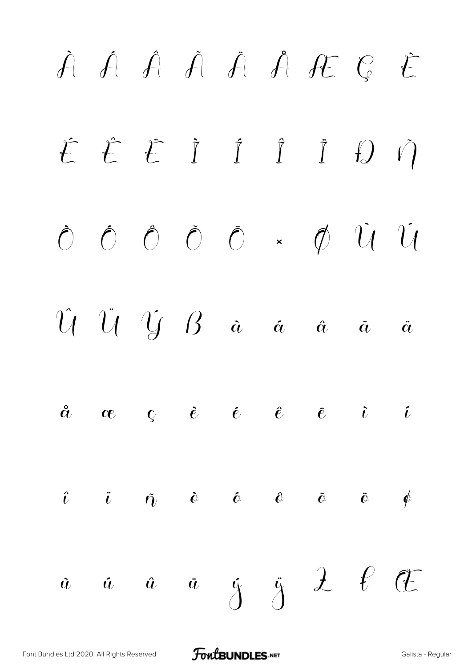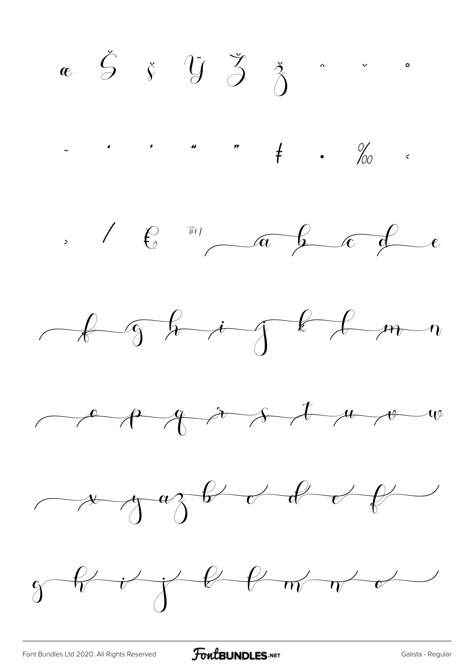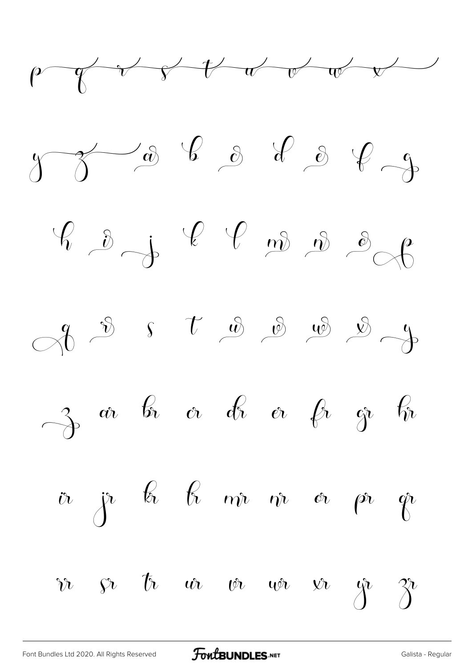





$$
\rightarrow \begin{array}{ccccccccc}\n3 & \alpha & b & \alpha & d & b & \alpha & \beta & \gamma & \eta\n\end{array}
$$